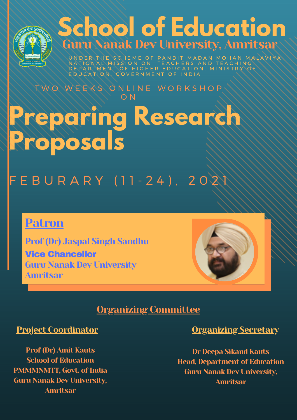# **Preparing Research Proposals** T W O W E E K S O N L I N E W O R K S H O P O N

# F E B U R A R Y (11-24), 202



# **School of Education** Guru Nanak Dev University, Amritsar

UN D E R THE SCHEME OF PANDIT MADAN MOHAN MALAVIYA N A T I O N A L M I S S I O N O N T E A C H E R S A N D T E A C H I N G D E P A R T M E N T O F H I G H E R E D U C A T I O N , M I N I S T R Y E D U C A T I O N, C O V E R N M E N T O F I N D I A



Prof (Dr) Jaspal Singh Sandhu Vice Chancellor Guru Nanak Dev University Amritsar



# Organizing Committee

# Project Coordinator

Prof (Dr) Amit Kauts School of Education PMMMNMTT, Govt. of India Guru Nanak Dev University, Amritsar

# Organizing Secretary

Dr Deepa Sikand Kauts Head, Department of Education Guru Nanak Dev University, Amritsar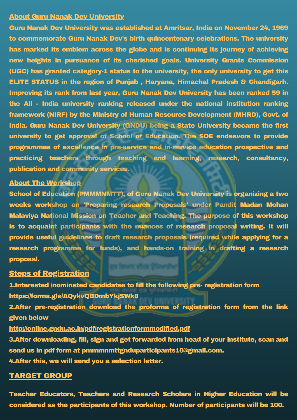### **About Guru Nanak Dev University**

Guru Nanak Dev University was established at Amritsar, India on November 24, 1969 to commemorate Guru Nanak Dev's birth quincentenary celebrations. The university has marked its emblem across the globe and is continuing its journey of achieving new heights in pursuance of its cherished goals. University Grants Commission (UGC) has granted category-1 status to the university, the only university to get this ELITE STATUS in the region of Punjab , Haryana, Himachal Pradesh & Chandigarh. Improving its rank from last year, Guru Nanak Dev University has been ranked 59 in the All - India university ranking released under the national institution ranking framework (NIRF) by the Ministry of Human Resource Development (MHRD), Govt. of India. Guru Nanak Dev University (GNDU) being a State University became the first university to get approval of School of Education. The SOE endeavors to provide programmes of excellence in pre-service and in-service education prospective and practicing teachers through teaching and learning, research, consultancy, publication and community services.

### About The Workshop

School of Education (PMMMNMTT), of Guru Nanak Dev University is organizing a two weeks workshop on 'Preparing research Proposals' under Pandit Madan Mohan Malaviya National Mission on Teacher and Teaching. The purpose of this workshop is to acquaint participants with the nuances of research proposal writing. It will provide useful guidelines to draft research proposals (required while applying for a research programme for funds), and hands-on training in drafting a research proposal.

## **Steps of Registration**

1.Interested /nominated candidates to fill the following pre- registration form <https://forms.gle/AQykvQBDmbYkjSWk8> 2.After pre-registration download the proforma of registration form from the link given below <http://online.gndu.ac.in/pdf/registrationformmodified.pdf> 3.After downloading, fill, sign and get forwarded from head of your institute, scan and send us in pdf form at pmmmnmttgnduparticipants10@gmail.com. 4.After this, we will send you a selection letter.

# TARGET GROUP

Teacher Educators, Teachers and Research Scholars in Higher Education will be considered as the participants of this workshop. Number of participants will be 100.